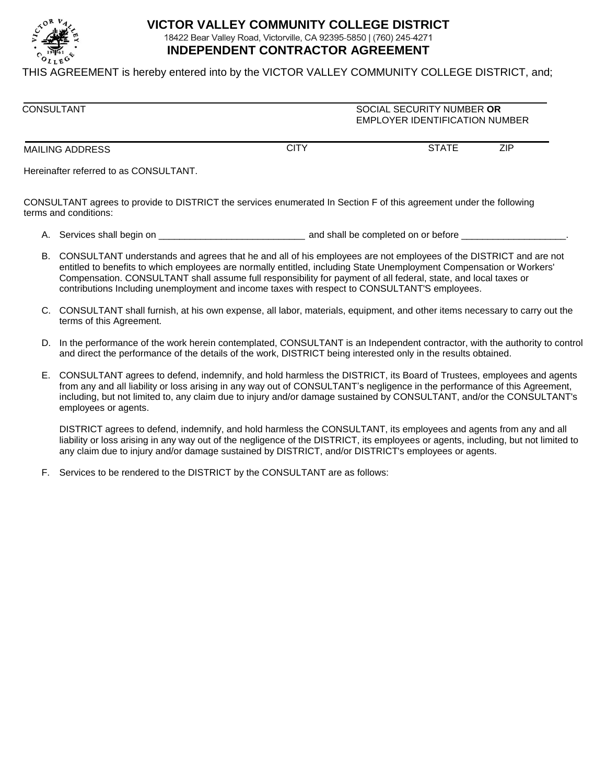

## **VICTOR VALLEY COMMUNITY COLLEGE DISTRICT** 18422 Bear Valley Road, Victorville, CA 92395-5850 | (760) 245-4271 **INDEPENDENT CONTRACTOR AGREEMENT**

THIS AGREEMENT is hereby entered into by the VICTOR VALLEY COMMUNITY COLLEGE DISTRICT, and;

| <b>CONSULTANT</b> | SOCIAL SECURITY NUMBER OR<br><b>EMPLOYER IDENTIFICATION NUMBER</b> |              |     |
|-------------------|--------------------------------------------------------------------|--------------|-----|
| MAILING ADDRESS   | CITY                                                               | <b>STATE</b> | ZIP |

Hereinafter referred to as CONSULTANT.

CONSULTANT agrees to provide to DISTRICT the services enumerated In Section F of this agreement under the following terms and conditions:

A. Services shall begin on \_\_\_\_\_\_\_\_\_\_\_\_\_\_\_\_\_\_\_\_\_\_\_\_\_\_\_\_ and shall be completed on or before \_\_\_\_\_\_\_\_\_\_\_\_\_\_\_\_\_\_\_\_.

- B. CONSULTANT understands and agrees that he and all of his employees are not employees of the DISTRICT and are not entitled to benefits to which employees are normally entitled, including State Unemployment Compensation or Workers' Compensation. CONSULTANT shall assume full responsibility for payment of all federal, state, and local taxes or contributions Including unemployment and income taxes with respect to CONSULTANT'S employees.
- C. CONSULTANT shall furnish, at his own expense, all labor, materials, equipment, and other items necessary to carry out the terms of this Agreement.
- D. In the performance of the work herein contemplated, CONSULTANT is an Independent contractor, with the authority to control and direct the performance of the details of the work, DISTRICT being interested only in the results obtained.
- E. CONSULTANT agrees to defend, indemnify, and hold harmless the DISTRICT, its Board of Trustees, employees and agents from any and all liability or loss arising in any way out of CONSULTANT's negligence in the performance of this Agreement, including, but not limited to, any claim due to injury and/or damage sustained by CONSULTANT, and/or the CONSULTANT's employees or agents.

DISTRICT agrees to defend, indemnify, and hold harmless the CONSULTANT, its employees and agents from any and all liability or loss arising in any way out of the negligence of the DISTRICT, its employees or agents, including, but not limited to any claim due to injury and/or damage sustained by DISTRICT, and/or DISTRICT's employees or agents.

F. Services to be rendered to the DISTRICT by the CONSULTANT are as follows: